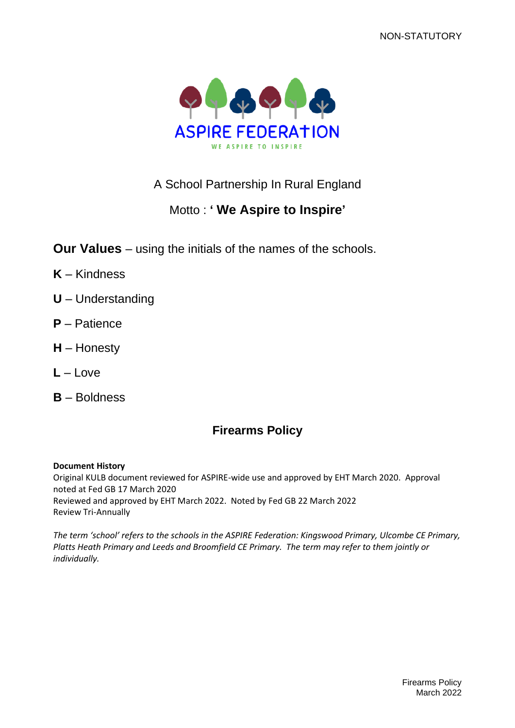NON-STATUTORY



## A School Partnership In Rural England

# Motto : **' We Aspire to Inspire'**

**Our Values** – using the initials of the names of the schools.

- **K** Kindness
- **U** Understanding
- **P** Patience
- **H** Honesty
- **L** Love
- **B** Boldness

# **Firearms Policy**

### **Document History**

Original KULB document reviewed for ASPIRE-wide use and approved by EHT March 2020. Approval noted at Fed GB 17 March 2020 Reviewed and approved by EHT March 2022. Noted by Fed GB 22 March 2022 Review Tri-Annually

*The term 'school' refers to the schools in the ASPIRE Federation: Kingswood Primary, Ulcombe CE Primary, Platts Heath Primary and Leeds and Broomfield CE Primary. The term may refer to them jointly or individually.*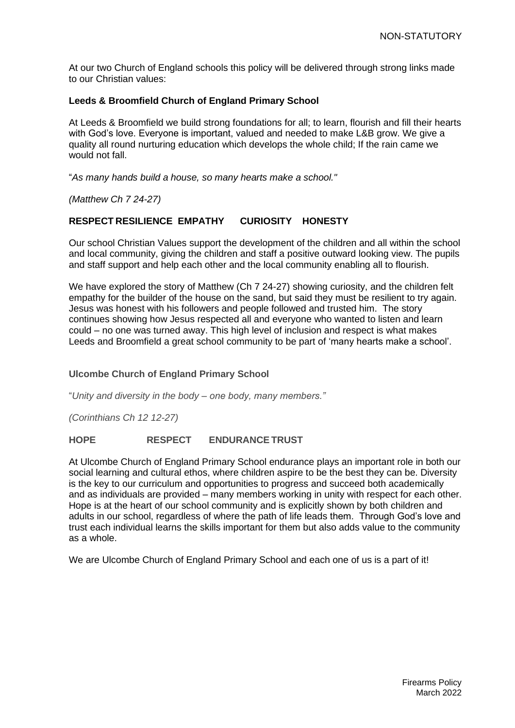At our two Church of England schools this policy will be delivered through strong links made to our Christian values:

### **Leeds & Broomfield Church of England Primary School**

At Leeds & Broomfield we build strong foundations for all; to learn, flourish and fill their hearts with God's love. Everyone is important, valued and needed to make L&B grow. We give a quality all round nurturing education which develops the whole child; If the rain came we would not fall.

"*As many hands build a house, so many hearts make a school."*

*(Matthew Ch 7 24-27)*

## **RESPECT RESILIENCE EMPATHY CURIOSITY HONESTY**

Our school Christian Values support the development of the children and all within the school and local community, giving the children and staff a positive outward looking view. The pupils and staff support and help each other and the local community enabling all to flourish.

We have explored the story of Matthew (Ch 7 24-27) showing curiosity, and the children felt empathy for the builder of the house on the sand, but said they must be resilient to try again. Jesus was honest with his followers and people followed and trusted him. The story continues showing how Jesus respected all and everyone who wanted to listen and learn could – no one was turned away. This high level of inclusion and respect is what makes Leeds and Broomfield a great school community to be part of 'many hearts make a school'.

### **Ulcombe Church of England Primary School**

"*Unity and diversity in the body – one body, many members."*

*(Corinthians Ch 12 12-27)*

### **HOPE RESPECT ENDURANCETRUST**

At Ulcombe Church of England Primary School endurance plays an important role in both our social learning and cultural ethos, where children aspire to be the best they can be. Diversity is the key to our curriculum and opportunities to progress and succeed both academically and as individuals are provided – many members working in unity with respect for each other. Hope is at the heart of our school community and is explicitly shown by both children and adults in our school, regardless of where the path of life leads them. Through God's love and trust each individual learns the skills important for them but also adds value to the community as a whole.

We are Ulcombe Church of England Primary School and each one of us is a part of it!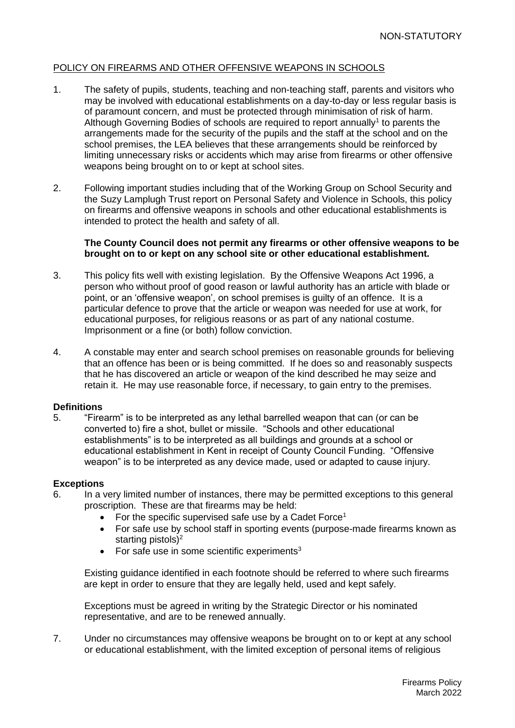### POLICY ON FIREARMS AND OTHER OFFENSIVE WEAPONS IN SCHOOLS

- 1. The safety of pupils, students, teaching and non-teaching staff, parents and visitors who may be involved with educational establishments on a day-to-day or less regular basis is of paramount concern, and must be protected through minimisation of risk of harm. Although Governing Bodies of schools are required to report annually<sup>1</sup> to parents the arrangements made for the security of the pupils and the staff at the school and on the school premises, the LEA believes that these arrangements should be reinforced by limiting unnecessary risks or accidents which may arise from firearms or other offensive weapons being brought on to or kept at school sites.
- 2. Following important studies including that of the Working Group on School Security and the Suzy Lamplugh Trust report on Personal Safety and Violence in Schools, this policy on firearms and offensive weapons in schools and other educational establishments is intended to protect the health and safety of all.

#### **The County Council does not permit any firearms or other offensive weapons to be brought on to or kept on any school site or other educational establishment.**

- 3. This policy fits well with existing legislation. By the Offensive Weapons Act 1996, a person who without proof of good reason or lawful authority has an article with blade or point, or an 'offensive weapon', on school premises is guilty of an offence. It is a particular defence to prove that the article or weapon was needed for use at work, for educational purposes, for religious reasons or as part of any national costume. Imprisonment or a fine (or both) follow conviction.
- 4. A constable may enter and search school premises on reasonable grounds for believing that an offence has been or is being committed. If he does so and reasonably suspects that he has discovered an article or weapon of the kind described he may seize and retain it. He may use reasonable force, if necessary, to gain entry to the premises.

#### **Definitions**

5. "Firearm" is to be interpreted as any lethal barrelled weapon that can (or can be converted to) fire a shot, bullet or missile. "Schools and other educational establishments" is to be interpreted as all buildings and grounds at a school or educational establishment in Kent in receipt of County Council Funding. "Offensive weapon" is to be interpreted as any device made, used or adapted to cause injury.

#### **Exceptions**

- 6. In a very limited number of instances, there may be permitted exceptions to this general proscription. These are that firearms may be held:
	- For the specific supervised safe use by a Cadet Force<sup>1</sup>
	- For safe use by school staff in sporting events (purpose-made firearms known as starting pistols) $2$
	- For safe use in some scientific experiments $3$

Existing guidance identified in each footnote should be referred to where such firearms are kept in order to ensure that they are legally held, used and kept safely.

Exceptions must be agreed in writing by the Strategic Director or his nominated representative, and are to be renewed annually.

7. Under no circumstances may offensive weapons be brought on to or kept at any school or educational establishment, with the limited exception of personal items of religious